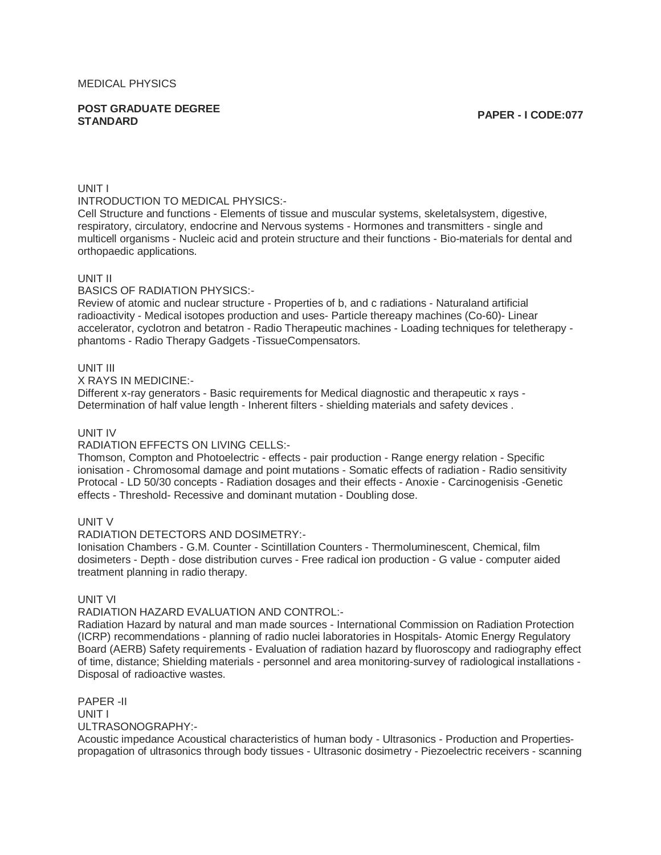**POST GRADUATE DEGREE STANDARD PAPER - I CODE:077**

#### UNIT I

INTRODUCTION TO MEDICAL PHYSICS:-

Cell Structure and functions - Elements of tissue and muscular systems, skeletalsystem, digestive, respiratory, circulatory, endocrine and Nervous systems - Hormones and transmitters - single and multicell organisms - Nucleic acid and protein structure and their functions - Bio-materials for dental and orthopaedic applications.

#### UNIT II

BASICS OF RADIATION PHYSICS:-

Review of atomic and nuclear structure - Properties of b, and c radiations - Naturaland artificial radioactivity - Medical isotopes production and uses- Particle thereapy machines (Co-60)- Linear accelerator, cyclotron and betatron - Radio Therapeutic machines - Loading techniques for teletherapy phantoms - Radio Therapy Gadgets -TissueCompensators.

#### UNIT III

X RAYS IN MEDICINE:-

Different x-ray generators - Basic requirements for Medical diagnostic and therapeutic x rays - Determination of half value length - Inherent filters - shielding materials and safety devices .

#### UNIT IV

### RADIATION EFFECTS ON LIVING CELLS:-

Thomson, Compton and Photoelectric - effects - pair production - Range energy relation - Specific ionisation - Chromosomal damage and point mutations - Somatic effects of radiation - Radio sensitivity Protocal - LD 50/30 concepts - Radiation dosages and their effects - Anoxie - Carcinogenisis -Genetic effects - Threshold- Recessive and dominant mutation - Doubling dose.

## UNIT V

RADIATION DETECTORS AND DOSIMETRY:-

Ionisation Chambers - G.M. Counter - Scintillation Counters - Thermoluminescent, Chemical, film dosimeters - Depth - dose distribution curves - Free radical ion production - G value - computer aided treatment planning in radio therapy.

## UNIT VI

### RADIATION HAZARD EVALUATION AND CONTROL:-

Radiation Hazard by natural and man made sources - International Commission on Radiation Protection (ICRP) recommendations - planning of radio nuclei laboratories in Hospitals- Atomic Energy Regulatory Board (AERB) Safety requirements - Evaluation of radiation hazard by fluoroscopy and radiography effect of time, distance; Shielding materials - personnel and area monitoring-survey of radiological installations - Disposal of radioactive wastes.

PAPER -II UNIT I ULTRASONOGRAPHY:-

Acoustic impedance Acoustical characteristics of human body - Ultrasonics - Production and Propertiespropagation of ultrasonics through body tissues - Ultrasonic dosimetry - Piezoelectric receivers - scanning